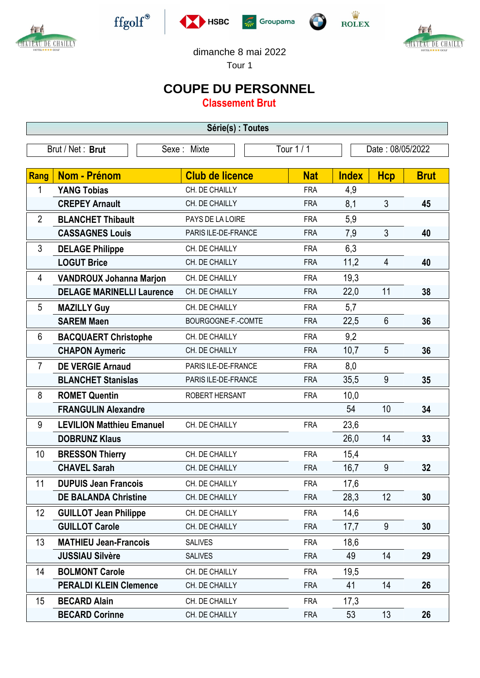









**EXAMPLE 1999** 



dimanche 8 mai 2022

Tour 1

## **COUPE DU PERSONNEL**

**Classement Brut**

| Tour 1 / 1<br>Brut / Net: Brut<br>Date: 08/05/2022<br>Sexe: Mixte<br><b>Brut</b><br>Rang<br>Nom - Prénom<br><b>Club de licence</b><br><b>Nat</b><br><b>Index</b><br><b>Hcp</b><br>1<br>4,9<br><b>YANG Tobias</b><br>CH. DE CHAILLY<br><b>FRA</b><br><b>CREPEY Arnault</b><br>8,1<br>3<br>CH. DE CHAILLY<br>45<br><b>FRA</b><br>5,9<br>$\overline{2}$<br><b>BLANCHET Thibault</b><br>PAYS DE LA LOIRE<br><b>FRA</b><br>3<br><b>CASSAGNES Louis</b><br>7,9<br>PARIS ILE-DE-FRANCE<br>40<br><b>FRA</b><br>3<br>6,3<br><b>DELAGE Philippe</b><br>CH. DE CHAILLY<br><b>FRA</b><br><b>LOGUT Brice</b><br>11,2<br>$\overline{4}$<br>CH. DE CHAILLY<br><b>FRA</b><br>40<br>19,3<br>4<br><b>VANDROUX Johanna Marjon</b><br>CH. DE CHAILLY<br><b>FRA</b><br>11<br><b>DELAGE MARINELLI Laurence</b><br>22,0<br>CH. DE CHAILLY<br><b>FRA</b><br>38<br>5<br>CH. DE CHAILLY<br><b>FRA</b><br>5,7<br><b>MAZILLY Guy</b><br>22,5<br>6<br><b>SAREM Maen</b><br>36<br>BOURGOGNE-F.-COMTE<br><b>FRA</b><br>6<br>9,2<br><b>BACQUAERT Christophe</b><br>CH. DE CHAILLY<br><b>FRA</b><br>5<br><b>CHAPON Aymeric</b><br>10,7<br>CH. DE CHAILLY<br><b>FRA</b><br>36<br>$\overline{7}$<br><b>DE VERGIE Arnaud</b><br>8,0<br>PARIS ILE-DE-FRANCE<br><b>FRA</b><br>9<br><b>BLANCHET Stanislas</b><br>35,5<br>PARIS ILE-DE-FRANCE<br>35<br><b>FRA</b><br>8<br>10,0<br><b>ROMET Quentin</b><br>ROBERT HERSANT<br><b>FRA</b><br>10<br><b>FRANGULIN Alexandre</b><br>54<br>34<br>9<br>23,6<br><b>LEVILION Matthieu Emanuel</b><br>CH. DE CHAILLY<br><b>FRA</b><br>26,0<br>14<br><b>DOBRUNZ Klaus</b><br>33<br>10<br>15,4<br><b>BRESSON Thierry</b><br>CH. DE CHAILLY<br><b>FRA</b><br>9<br>16,7<br><b>CHAVEL Sarah</b><br>CH. DE CHAILLY<br>32<br><b>FRA</b><br>11<br><b>DUPUIS Jean Francois</b><br>17,6<br><b>FRA</b><br>CH. DE CHAILLY<br><b>DE BALANDA Christine</b><br>28,3<br>12<br>30<br>CH. DE CHAILLY<br><b>FRA</b><br>14,6<br>12<br><b>GUILLOT Jean Philippe</b><br>CH. DE CHAILLY<br><b>FRA</b><br><b>GUILLOT Carole</b><br>9<br>CH. DE CHAILLY<br><b>FRA</b><br>17,7<br>30<br>13<br><b>MATHIEU Jean-Francois</b><br>18,6<br><b>SALIVES</b><br><b>FRA</b><br>49<br>14<br><b>JUSSIAU Silvère</b><br><b>SALIVES</b><br><b>FRA</b><br>29<br>19,5<br>14<br>CH. DE CHAILLY<br><b>BOLMONT Carole</b><br><b>FRA</b><br>CH. DE CHAILLY<br>41<br>14<br><b>PERALDI KLEIN Clemence</b><br>26<br><b>FRA</b><br>15<br><b>BECARD Alain</b><br>17,3<br>CH. DE CHAILLY<br><b>FRA</b> | Série(s) : Toutes |  |  |  |  |  |  |  |  |  |  |
|--------------------------------------------------------------------------------------------------------------------------------------------------------------------------------------------------------------------------------------------------------------------------------------------------------------------------------------------------------------------------------------------------------------------------------------------------------------------------------------------------------------------------------------------------------------------------------------------------------------------------------------------------------------------------------------------------------------------------------------------------------------------------------------------------------------------------------------------------------------------------------------------------------------------------------------------------------------------------------------------------------------------------------------------------------------------------------------------------------------------------------------------------------------------------------------------------------------------------------------------------------------------------------------------------------------------------------------------------------------------------------------------------------------------------------------------------------------------------------------------------------------------------------------------------------------------------------------------------------------------------------------------------------------------------------------------------------------------------------------------------------------------------------------------------------------------------------------------------------------------------------------------------------------------------------------------------------------------------------------------------------------------------------------------------------------------------------------------------------------------------------------------------------------------------------------------------------------------------------------------------------------------------------------------------------------------------------------------------------------------------------------------------------------------------------------------------|-------------------|--|--|--|--|--|--|--|--|--|--|
|                                                                                                                                                                                                                                                                                                                                                                                                                                                                                                                                                                                                                                                                                                                                                                                                                                                                                                                                                                                                                                                                                                                                                                                                                                                                                                                                                                                                                                                                                                                                                                                                                                                                                                                                                                                                                                                                                                                                                                                                                                                                                                                                                                                                                                                                                                                                                                                                                                                  |                   |  |  |  |  |  |  |  |  |  |  |
|                                                                                                                                                                                                                                                                                                                                                                                                                                                                                                                                                                                                                                                                                                                                                                                                                                                                                                                                                                                                                                                                                                                                                                                                                                                                                                                                                                                                                                                                                                                                                                                                                                                                                                                                                                                                                                                                                                                                                                                                                                                                                                                                                                                                                                                                                                                                                                                                                                                  |                   |  |  |  |  |  |  |  |  |  |  |
|                                                                                                                                                                                                                                                                                                                                                                                                                                                                                                                                                                                                                                                                                                                                                                                                                                                                                                                                                                                                                                                                                                                                                                                                                                                                                                                                                                                                                                                                                                                                                                                                                                                                                                                                                                                                                                                                                                                                                                                                                                                                                                                                                                                                                                                                                                                                                                                                                                                  |                   |  |  |  |  |  |  |  |  |  |  |
|                                                                                                                                                                                                                                                                                                                                                                                                                                                                                                                                                                                                                                                                                                                                                                                                                                                                                                                                                                                                                                                                                                                                                                                                                                                                                                                                                                                                                                                                                                                                                                                                                                                                                                                                                                                                                                                                                                                                                                                                                                                                                                                                                                                                                                                                                                                                                                                                                                                  |                   |  |  |  |  |  |  |  |  |  |  |
|                                                                                                                                                                                                                                                                                                                                                                                                                                                                                                                                                                                                                                                                                                                                                                                                                                                                                                                                                                                                                                                                                                                                                                                                                                                                                                                                                                                                                                                                                                                                                                                                                                                                                                                                                                                                                                                                                                                                                                                                                                                                                                                                                                                                                                                                                                                                                                                                                                                  |                   |  |  |  |  |  |  |  |  |  |  |
|                                                                                                                                                                                                                                                                                                                                                                                                                                                                                                                                                                                                                                                                                                                                                                                                                                                                                                                                                                                                                                                                                                                                                                                                                                                                                                                                                                                                                                                                                                                                                                                                                                                                                                                                                                                                                                                                                                                                                                                                                                                                                                                                                                                                                                                                                                                                                                                                                                                  |                   |  |  |  |  |  |  |  |  |  |  |
|                                                                                                                                                                                                                                                                                                                                                                                                                                                                                                                                                                                                                                                                                                                                                                                                                                                                                                                                                                                                                                                                                                                                                                                                                                                                                                                                                                                                                                                                                                                                                                                                                                                                                                                                                                                                                                                                                                                                                                                                                                                                                                                                                                                                                                                                                                                                                                                                                                                  |                   |  |  |  |  |  |  |  |  |  |  |
|                                                                                                                                                                                                                                                                                                                                                                                                                                                                                                                                                                                                                                                                                                                                                                                                                                                                                                                                                                                                                                                                                                                                                                                                                                                                                                                                                                                                                                                                                                                                                                                                                                                                                                                                                                                                                                                                                                                                                                                                                                                                                                                                                                                                                                                                                                                                                                                                                                                  |                   |  |  |  |  |  |  |  |  |  |  |
|                                                                                                                                                                                                                                                                                                                                                                                                                                                                                                                                                                                                                                                                                                                                                                                                                                                                                                                                                                                                                                                                                                                                                                                                                                                                                                                                                                                                                                                                                                                                                                                                                                                                                                                                                                                                                                                                                                                                                                                                                                                                                                                                                                                                                                                                                                                                                                                                                                                  |                   |  |  |  |  |  |  |  |  |  |  |
|                                                                                                                                                                                                                                                                                                                                                                                                                                                                                                                                                                                                                                                                                                                                                                                                                                                                                                                                                                                                                                                                                                                                                                                                                                                                                                                                                                                                                                                                                                                                                                                                                                                                                                                                                                                                                                                                                                                                                                                                                                                                                                                                                                                                                                                                                                                                                                                                                                                  |                   |  |  |  |  |  |  |  |  |  |  |
|                                                                                                                                                                                                                                                                                                                                                                                                                                                                                                                                                                                                                                                                                                                                                                                                                                                                                                                                                                                                                                                                                                                                                                                                                                                                                                                                                                                                                                                                                                                                                                                                                                                                                                                                                                                                                                                                                                                                                                                                                                                                                                                                                                                                                                                                                                                                                                                                                                                  |                   |  |  |  |  |  |  |  |  |  |  |
|                                                                                                                                                                                                                                                                                                                                                                                                                                                                                                                                                                                                                                                                                                                                                                                                                                                                                                                                                                                                                                                                                                                                                                                                                                                                                                                                                                                                                                                                                                                                                                                                                                                                                                                                                                                                                                                                                                                                                                                                                                                                                                                                                                                                                                                                                                                                                                                                                                                  |                   |  |  |  |  |  |  |  |  |  |  |
|                                                                                                                                                                                                                                                                                                                                                                                                                                                                                                                                                                                                                                                                                                                                                                                                                                                                                                                                                                                                                                                                                                                                                                                                                                                                                                                                                                                                                                                                                                                                                                                                                                                                                                                                                                                                                                                                                                                                                                                                                                                                                                                                                                                                                                                                                                                                                                                                                                                  |                   |  |  |  |  |  |  |  |  |  |  |
|                                                                                                                                                                                                                                                                                                                                                                                                                                                                                                                                                                                                                                                                                                                                                                                                                                                                                                                                                                                                                                                                                                                                                                                                                                                                                                                                                                                                                                                                                                                                                                                                                                                                                                                                                                                                                                                                                                                                                                                                                                                                                                                                                                                                                                                                                                                                                                                                                                                  |                   |  |  |  |  |  |  |  |  |  |  |
|                                                                                                                                                                                                                                                                                                                                                                                                                                                                                                                                                                                                                                                                                                                                                                                                                                                                                                                                                                                                                                                                                                                                                                                                                                                                                                                                                                                                                                                                                                                                                                                                                                                                                                                                                                                                                                                                                                                                                                                                                                                                                                                                                                                                                                                                                                                                                                                                                                                  |                   |  |  |  |  |  |  |  |  |  |  |
|                                                                                                                                                                                                                                                                                                                                                                                                                                                                                                                                                                                                                                                                                                                                                                                                                                                                                                                                                                                                                                                                                                                                                                                                                                                                                                                                                                                                                                                                                                                                                                                                                                                                                                                                                                                                                                                                                                                                                                                                                                                                                                                                                                                                                                                                                                                                                                                                                                                  |                   |  |  |  |  |  |  |  |  |  |  |
|                                                                                                                                                                                                                                                                                                                                                                                                                                                                                                                                                                                                                                                                                                                                                                                                                                                                                                                                                                                                                                                                                                                                                                                                                                                                                                                                                                                                                                                                                                                                                                                                                                                                                                                                                                                                                                                                                                                                                                                                                                                                                                                                                                                                                                                                                                                                                                                                                                                  |                   |  |  |  |  |  |  |  |  |  |  |
|                                                                                                                                                                                                                                                                                                                                                                                                                                                                                                                                                                                                                                                                                                                                                                                                                                                                                                                                                                                                                                                                                                                                                                                                                                                                                                                                                                                                                                                                                                                                                                                                                                                                                                                                                                                                                                                                                                                                                                                                                                                                                                                                                                                                                                                                                                                                                                                                                                                  |                   |  |  |  |  |  |  |  |  |  |  |
|                                                                                                                                                                                                                                                                                                                                                                                                                                                                                                                                                                                                                                                                                                                                                                                                                                                                                                                                                                                                                                                                                                                                                                                                                                                                                                                                                                                                                                                                                                                                                                                                                                                                                                                                                                                                                                                                                                                                                                                                                                                                                                                                                                                                                                                                                                                                                                                                                                                  |                   |  |  |  |  |  |  |  |  |  |  |
|                                                                                                                                                                                                                                                                                                                                                                                                                                                                                                                                                                                                                                                                                                                                                                                                                                                                                                                                                                                                                                                                                                                                                                                                                                                                                                                                                                                                                                                                                                                                                                                                                                                                                                                                                                                                                                                                                                                                                                                                                                                                                                                                                                                                                                                                                                                                                                                                                                                  |                   |  |  |  |  |  |  |  |  |  |  |
|                                                                                                                                                                                                                                                                                                                                                                                                                                                                                                                                                                                                                                                                                                                                                                                                                                                                                                                                                                                                                                                                                                                                                                                                                                                                                                                                                                                                                                                                                                                                                                                                                                                                                                                                                                                                                                                                                                                                                                                                                                                                                                                                                                                                                                                                                                                                                                                                                                                  |                   |  |  |  |  |  |  |  |  |  |  |
|                                                                                                                                                                                                                                                                                                                                                                                                                                                                                                                                                                                                                                                                                                                                                                                                                                                                                                                                                                                                                                                                                                                                                                                                                                                                                                                                                                                                                                                                                                                                                                                                                                                                                                                                                                                                                                                                                                                                                                                                                                                                                                                                                                                                                                                                                                                                                                                                                                                  |                   |  |  |  |  |  |  |  |  |  |  |
|                                                                                                                                                                                                                                                                                                                                                                                                                                                                                                                                                                                                                                                                                                                                                                                                                                                                                                                                                                                                                                                                                                                                                                                                                                                                                                                                                                                                                                                                                                                                                                                                                                                                                                                                                                                                                                                                                                                                                                                                                                                                                                                                                                                                                                                                                                                                                                                                                                                  |                   |  |  |  |  |  |  |  |  |  |  |
|                                                                                                                                                                                                                                                                                                                                                                                                                                                                                                                                                                                                                                                                                                                                                                                                                                                                                                                                                                                                                                                                                                                                                                                                                                                                                                                                                                                                                                                                                                                                                                                                                                                                                                                                                                                                                                                                                                                                                                                                                                                                                                                                                                                                                                                                                                                                                                                                                                                  |                   |  |  |  |  |  |  |  |  |  |  |
|                                                                                                                                                                                                                                                                                                                                                                                                                                                                                                                                                                                                                                                                                                                                                                                                                                                                                                                                                                                                                                                                                                                                                                                                                                                                                                                                                                                                                                                                                                                                                                                                                                                                                                                                                                                                                                                                                                                                                                                                                                                                                                                                                                                                                                                                                                                                                                                                                                                  |                   |  |  |  |  |  |  |  |  |  |  |
|                                                                                                                                                                                                                                                                                                                                                                                                                                                                                                                                                                                                                                                                                                                                                                                                                                                                                                                                                                                                                                                                                                                                                                                                                                                                                                                                                                                                                                                                                                                                                                                                                                                                                                                                                                                                                                                                                                                                                                                                                                                                                                                                                                                                                                                                                                                                                                                                                                                  |                   |  |  |  |  |  |  |  |  |  |  |
|                                                                                                                                                                                                                                                                                                                                                                                                                                                                                                                                                                                                                                                                                                                                                                                                                                                                                                                                                                                                                                                                                                                                                                                                                                                                                                                                                                                                                                                                                                                                                                                                                                                                                                                                                                                                                                                                                                                                                                                                                                                                                                                                                                                                                                                                                                                                                                                                                                                  |                   |  |  |  |  |  |  |  |  |  |  |
|                                                                                                                                                                                                                                                                                                                                                                                                                                                                                                                                                                                                                                                                                                                                                                                                                                                                                                                                                                                                                                                                                                                                                                                                                                                                                                                                                                                                                                                                                                                                                                                                                                                                                                                                                                                                                                                                                                                                                                                                                                                                                                                                                                                                                                                                                                                                                                                                                                                  |                   |  |  |  |  |  |  |  |  |  |  |
|                                                                                                                                                                                                                                                                                                                                                                                                                                                                                                                                                                                                                                                                                                                                                                                                                                                                                                                                                                                                                                                                                                                                                                                                                                                                                                                                                                                                                                                                                                                                                                                                                                                                                                                                                                                                                                                                                                                                                                                                                                                                                                                                                                                                                                                                                                                                                                                                                                                  |                   |  |  |  |  |  |  |  |  |  |  |
|                                                                                                                                                                                                                                                                                                                                                                                                                                                                                                                                                                                                                                                                                                                                                                                                                                                                                                                                                                                                                                                                                                                                                                                                                                                                                                                                                                                                                                                                                                                                                                                                                                                                                                                                                                                                                                                                                                                                                                                                                                                                                                                                                                                                                                                                                                                                                                                                                                                  |                   |  |  |  |  |  |  |  |  |  |  |
|                                                                                                                                                                                                                                                                                                                                                                                                                                                                                                                                                                                                                                                                                                                                                                                                                                                                                                                                                                                                                                                                                                                                                                                                                                                                                                                                                                                                                                                                                                                                                                                                                                                                                                                                                                                                                                                                                                                                                                                                                                                                                                                                                                                                                                                                                                                                                                                                                                                  |                   |  |  |  |  |  |  |  |  |  |  |
|                                                                                                                                                                                                                                                                                                                                                                                                                                                                                                                                                                                                                                                                                                                                                                                                                                                                                                                                                                                                                                                                                                                                                                                                                                                                                                                                                                                                                                                                                                                                                                                                                                                                                                                                                                                                                                                                                                                                                                                                                                                                                                                                                                                                                                                                                                                                                                                                                                                  |                   |  |  |  |  |  |  |  |  |  |  |
| 13<br><b>BECARD Corinne</b><br>CH. DE CHAILLY<br>53<br>26<br><b>FRA</b>                                                                                                                                                                                                                                                                                                                                                                                                                                                                                                                                                                                                                                                                                                                                                                                                                                                                                                                                                                                                                                                                                                                                                                                                                                                                                                                                                                                                                                                                                                                                                                                                                                                                                                                                                                                                                                                                                                                                                                                                                                                                                                                                                                                                                                                                                                                                                                          |                   |  |  |  |  |  |  |  |  |  |  |